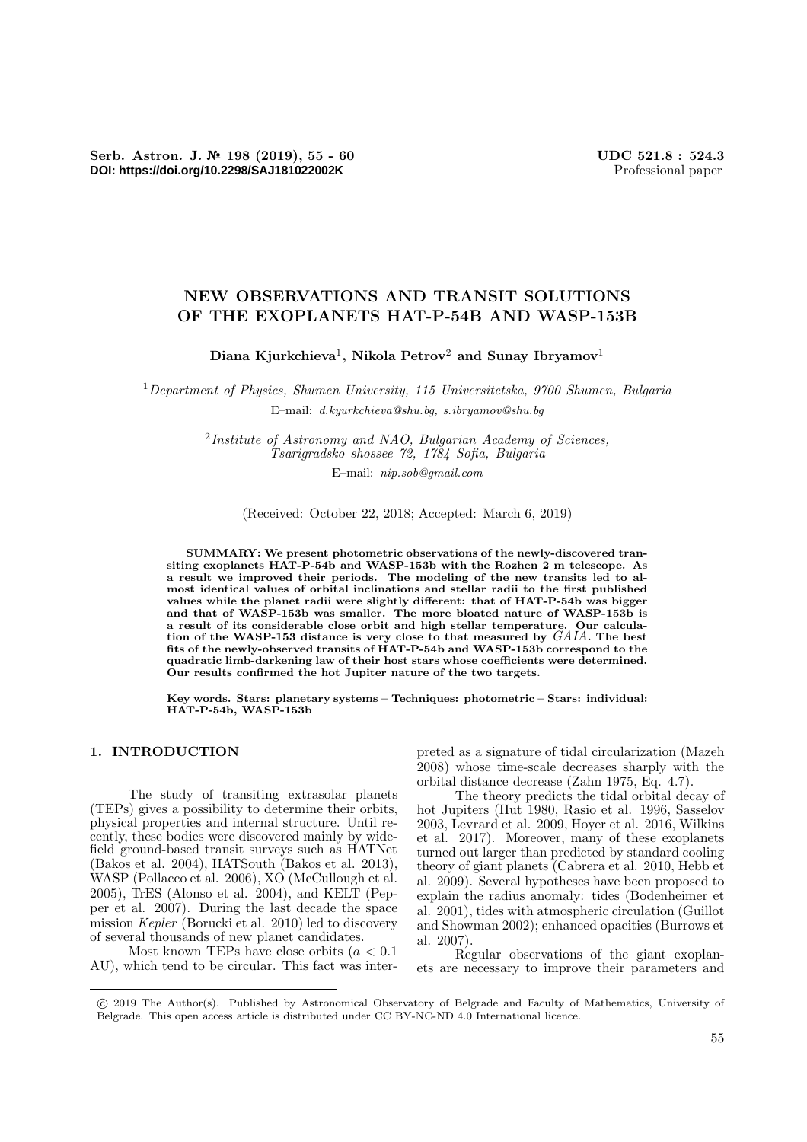# **NEW OBSERVATIONS AND TRANSIT SOLUTIONS OF THE EXOPLANETS HAT-P-54B AND WASP-153B**

**Diana Kjurkchieva**<sup>1</sup>**, Nikola Petrov**<sup>2</sup> **and Sunay Ibryamov**<sup>1</sup>

<sup>1</sup>*Department of Physics, Shumen University, 115 Universitetska, 9700 Shumen, Bulgaria* E–mail: *d.kyurkchieva@shu.bg, s.ibryamov@shu.bg*

> <sup>2</sup>*Institute of Astronomy and NAO, Bulgarian Academy of Sciences, Tsarigradsko shossee 72, 1784 Sofia, Bulgaria*

E–mail: *nip.sob@gmail.com*

(Received: October 22, 2018; Accepted: March 6, 2019)

**SUMMARY: We present photometric observations of the newly-discovered transiting exoplanets HAT-P-54b and WASP-153b with the Rozhen 2 m telescope. As a result we improved their periods. The modeling of the new transits led to almost identical values of orbital inclinations and stellar radii to the first published values while the planet radii were slightly different: that of HAT-P-54b was bigger and that of WASP-153b was smaller. The more bloated nature of WASP-153b is a result of its considerable close orbit and high stellar temperature. Our calculation of the WASP-153 distance is very close to that measured by** *GAIA***. The best fits of the newly-observed transits of HAT-P-54b and WASP-153b correspond to the quadratic limb-darkening law of their host stars whose coefficients were determined. Our results confirmed the hot Jupiter nature of the two targets.**

**Key words. Stars: planetary systems – Techniques: photometric – Stars: individual: HAT-P-54b, WASP-153b**

## **1. INTRODUCTION**

The study of transiting extrasolar planets (TEPs) gives a possibility to determine their orbits, physical properties and internal structure. Until recently, these bodies were discovered mainly by widefield ground-based transit surveys such as HATNet (Bakos et al. 2004), HATSouth (Bakos et al. 2013), WASP (Pollacco et al. 2006), XO (McCullough et al. 2005), TrES (Alonso et al. 2004), and KELT (Pepper et al. 2007). During the last decade the space mission *Kepler* (Borucki et al. 2010) led to discovery of several thousands of new planet candidates.

Most known TEPs have close orbits  $(a < 0.1)$ AU), which tend to be circular. This fact was inter-

preted as a signature of tidal circularization (Mazeh 2008) whose time-scale decreases sharply with the orbital distance decrease (Zahn 1975, Eq. 4.7).

The theory predicts the tidal orbital decay of hot Jupiters (Hut 1980, Rasio et al. 1996, Sasselov 2003, Levrard et al. 2009, Hoyer et al. 2016, Wilkins et al. 2017). Moreover, many of these exoplanets turned out larger than predicted by standard cooling theory of giant planets (Cabrera et al. 2010, Hebb et al. 2009). Several hypotheses have been proposed to explain the radius anomaly: tides (Bodenheimer et al. 2001), tides with atmospheric circulation (Guillot and Showman 2002); enhanced opacities (Burrows et al. 2007).

Regular observations of the giant exoplanets are necessary to improve their parameters and

<sup>-</sup>c 2019 The Author(s). Published by Astronomical Observatory of Belgrade and Faculty of Mathematics, University of Belgrade. This open access article is distributed under CC BY-NC-ND 4.0 International licence.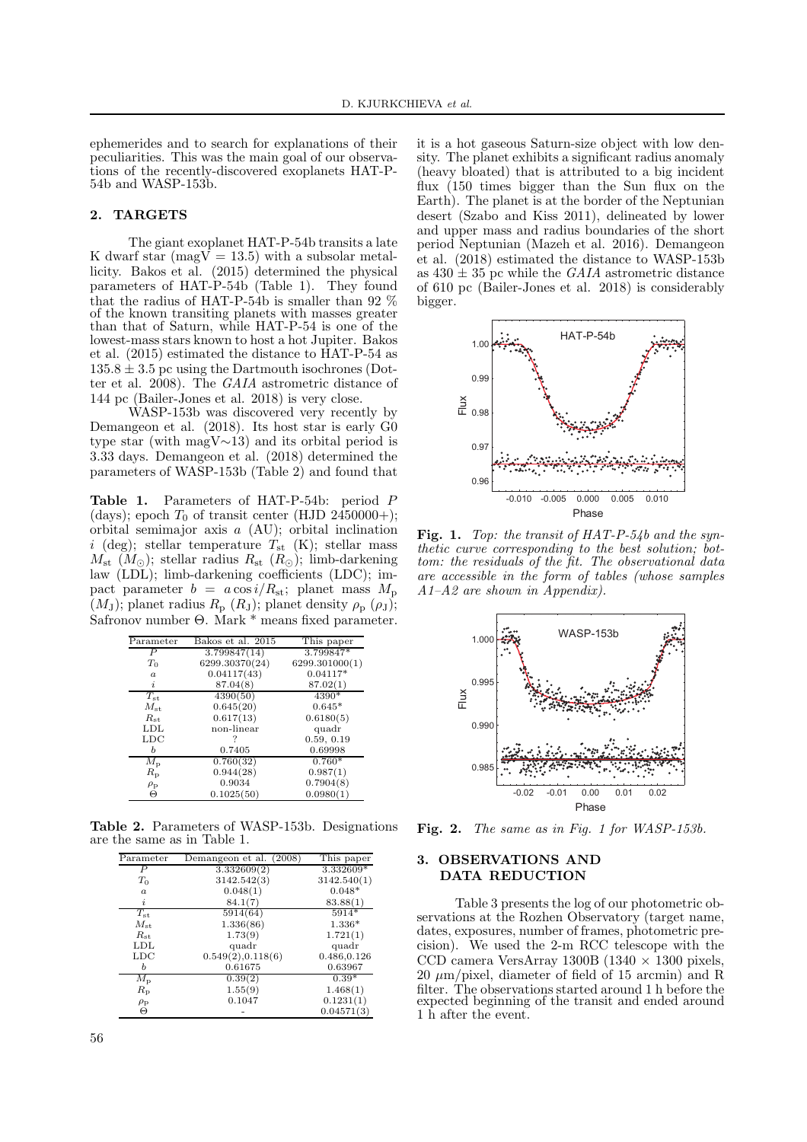ephemerides and to search for explanations of their peculiarities. This was the main goal of our observations of the recently-discovered exoplanets HAT-P-54b and WASP-153b.

### **2. TARGETS**

The giant exoplanet HAT-P-54b transits a late K dwarf star (mag $\overline{V} = 13.5$ ) with a subsolar metallicity. Bakos et al. (2015) determined the physical parameters of HAT-P-54b (Table 1). They found that the radius of HAT-P-54b is smaller than 92 % of the known transiting planets with masses greater than that of Saturn, while HAT-P-54 is one of the lowest-mass stars known to host a hot Jupiter. Bakos et al. (2015) estimated the distance to HAT-P-54 as  $135.8 \pm 3.5$  pc using the Dartmouth isochrones (Dotter et al. 2008). The *GAIA* astrometric distance of 144 pc (Bailer-Jones et al. 2018) is very close.

WASP-153b was discovered very recently by Demangeon et al. (2018). Its host star is early G0 type star (with magV∼13) and its orbital period is 3.33 days. Demangeon et al. (2018) determined the parameters of WASP-153b (Table 2) and found that

**Table 1.** Parameters of HAT-P-54b: period P (days); epoch  $T_0$  of transit center (HJD 2450000+); orbital semimajor axis a (AU); orbital inclination i (deg); stellar temperature  $T_{\rm st}$  (K); stellar mass  $M_{\rm st}$  ( $M_{\odot}$ ); stellar radius  $R_{\rm st}$  ( $R_{\odot}$ ); limb-darkening law (LDL); limb-darkening coefficients (LDC); impact parameter  $b = a \cos i/R_{\rm st}$ ; planet mass  $M_{\rm p}$  $(M_J)$ ; planet radius  $R_p(R_J)$ ; planet density  $\rho_p(\rho_J)$ ; Safronov number Θ. Mark \* means fixed parameter.

| Parameter        | Bakos et al. 2015 | This paper     |
|------------------|-------------------|----------------|
| Р                | 3.799847(14)      | 3.799847*      |
| $T_0$            | 6299.30370(24)    | 6299.301000(1) |
| $\boldsymbol{a}$ | 0.04117(43)       | $0.04117*$     |
| i                | 87.04(8)          | 87.02(1)       |
| $T_{\rm st}$     | 4390(50)          | 4390*          |
| $M_{\rm st}$     | 0.645(20)         | $0.645*$       |
| $R_{\rm st}$     | 0.617(13)         | 0.6180(5)      |
| LDL              | non-linear        | quadr          |
| $_{\rm LDC}$     |                   | 0.59, 0.19     |
| Ь                | 0.7405            | 0.69998        |
| $M_{\rm p}$      | 0.760(32)         | $0.760*$       |
| $R_{\rm p}$      | 0.944(28)         | 0.987(1)       |
| $\rho_{\rm p}$   | 0.9034            | 0.7904(8)      |
| Θ                | 0.1025(50)        | 0.0980(1)      |

**Table 2.** Parameters of WASP-153b. Designations are the same as in Table 1.

| Parameter        | Demangeon et al. (2008) | This paper  |
|------------------|-------------------------|-------------|
| Р                | 3.332609(2)             | 3.332609*   |
| $T_0$            | 3142.542(3)             | 3142.540(1) |
| $\boldsymbol{a}$ | 0.048(1)                | $0.048*$    |
| i                | 84.1(7)                 | 83.88(1)    |
| $T_{\rm st}$     | 5914(64)                | 5914*       |
| $M_{\rm st}$     | 1.336(86)               | $1.336*$    |
| $R_{\rm st}$     | 1.73(9)                 | 1.721(1)    |
| <b>LDL</b>       | quadr                   | quadr       |
| $_{\rm LDC}$     | 0.549(2), 0.118(6)      | 0.486,0.126 |
| Ь                | 0.61675                 | 0.63967     |
| $M_{\rm p}$      | 0.39(2)                 | $0.39*$     |
| $R_{\rm p}$      | 1.55(9)                 | 1.468(1)    |
| $\rho_{\rm p}$   | 0.1047                  | 0.1231(1)   |
| Θ                |                         | 0.04571(3)  |

it is a hot gaseous Saturn-size object with low density. The planet exhibits a significant radius anomaly (heavy bloated) that is attributed to a big incident flux (150 times bigger than the Sun flux on the Earth). The planet is at the border of the Neptunian desert (Szabo and Kiss 2011), delineated by lower and upper mass and radius boundaries of the short period Neptunian (Mazeh et al. 2016). Demangeon et al. (2018) estimated the distance to WASP-153b as  $430 \pm 35$  pc while the *GAIA* astrometric distance of 610 pc (Bailer-Jones et al. 2018) is considerably bigger.



**Fig. 1.** *Top: the transit of HAT-P-54b and the synthetic curve corresponding to the best solution; bottom: the residuals of the fit. The observational data are accessible in the form of tables (whose samples A1–A2 are shown in Appendix).*



**Fig. 2.** *The same as in Fig. 1 for WASP-153b.*

### **3. OBSERVATIONS AND DATA REDUCTION**

Table 3 presents the log of our photometric observations at the Rozhen Observatory (target name, dates, exposures, number of frames, photometric precision). We used the 2-m RCC telescope with the CCD camera VersArray 1300B (1340  $\times$  1300 pixels, 20 μm/pixel, diameter of field of 15 arcmin) and R filter. The observations started around 1 h before the expected beginning of the transit and ended around 1 h after the event.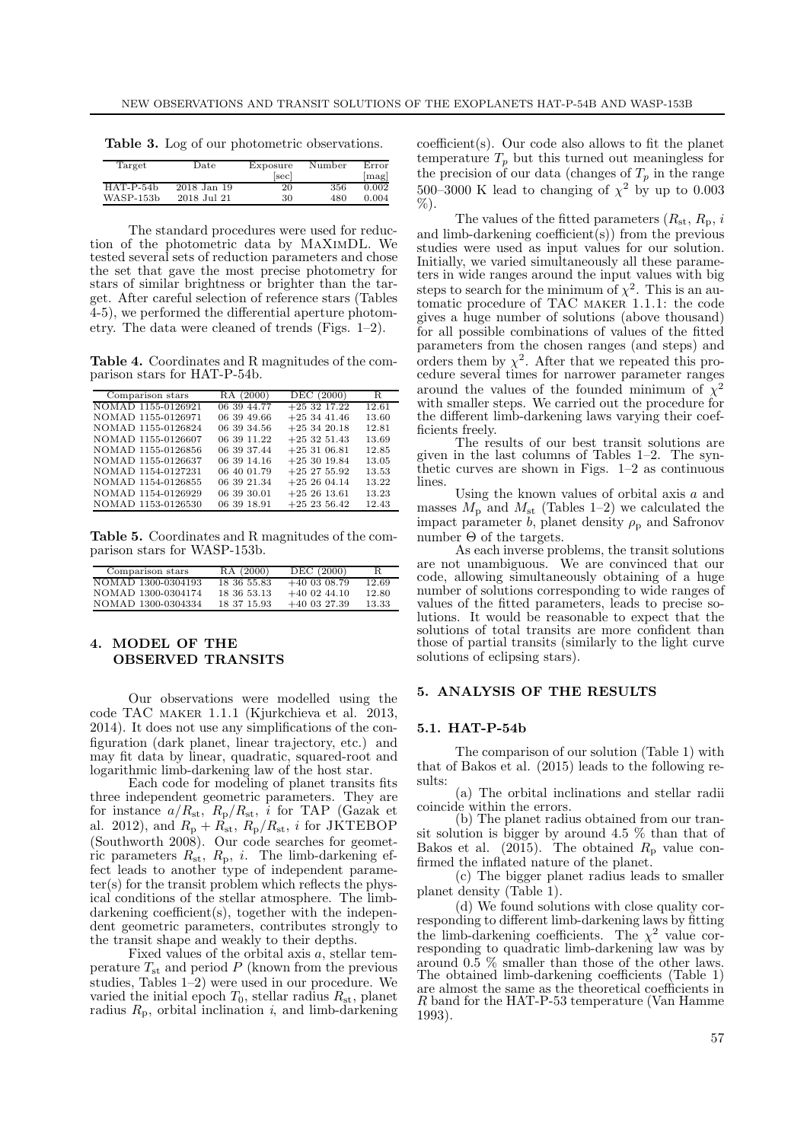|  | Table 3. Log of our photometric observations. |
|--|-----------------------------------------------|
|--|-----------------------------------------------|

| Target      | $_{\text{Date}}$ | Exposure | Number | Error |
|-------------|------------------|----------|--------|-------|
|             |                  | [sec]    |        | mag   |
| $HAT-P-54b$ | 2018 Jan 19      | 20       | 356    | 0.002 |
| WASP-153b   | 2018 Jul 21      | 30       | 480    | 0.004 |

The standard procedures were used for reduction of the photometric data by MaXimDL. We tested several sets of reduction parameters and chose the set that gave the most precise photometry for stars of similar brightness or brighter than the target. After careful selection of reference stars (Tables 4-5), we performed the differential aperture photometry. The data were cleaned of trends (Figs. 1–2).

**Table 4.** Coordinates and R magnitudes of the comparison stars for HAT-P-54b.

| Comparison stars   | RA (2000)   | DEC (2000)     | R     |
|--------------------|-------------|----------------|-------|
| NOMAD 1155-0126921 | 06 39 44.77 | $+253217.22$   | 12.61 |
| NOMAD 1155-0126971 | 06 39 49.66 | $+253441.46$   | 13.60 |
| NOMAD 1155-0126824 | 06 39 34.56 | $+253420.18$   | 12.81 |
| NOMAD 1155-0126607 | 06 39 11.22 | $+253251.43$   | 13.69 |
| NOMAD 1155-0126856 | 06 39 37.44 | $+253106.81$   | 12.85 |
| NOMAD 1155-0126637 | 06 39 14.16 | $+253019.84$   | 13.05 |
| NOMAD 1154-0127231 | 06 40 01.79 | $+25$ 27 55.92 | 13.53 |
| NOMAD 1154-0126855 | 06 39 21.34 | $+252604.14$   | 13.22 |
| NOMAD 1154-0126929 | 06 39 30.01 | $+252613.61$   | 13.23 |
| NOMAD 1153-0126530 | 06 39 18.91 | $+252356.42$   | 12.43 |

**Table 5.** Coordinates and R magnitudes of the comparison stars for WASP-153b.

| Comparison stars   | RA (2000)   | DEC (2000)     | R     |
|--------------------|-------------|----------------|-------|
| NOMAD 1300-0304193 | 18 36 55.83 | $+40$ 03 08.79 | 12.69 |
| NOMAD 1300-0304174 | 18 36 53 13 | $+40$ 02 44.10 | 12.80 |
| NOMAD 1300-0304334 | 18 37 15 93 | $+40$ 03 27.39 | 13.33 |

## **4. MODEL OF THE OBSERVED TRANSITS**

Our observations were modelled using the code TAC maker 1.1.1 (Kjurkchieva et al. 2013, 2014). It does not use any simplifications of the configuration (dark planet, linear trajectory, etc.) and may fit data by linear, quadratic, squared-root and logarithmic limb-darkening law of the host star.

Each code for modeling of planet transits fits three independent geometric parameters. They are for instance  $a/R_{\rm st}$ ,  $R_{\rm p}/R_{\rm st}$ , *i* for TAP (Gazak et al. 2012), and  $R_p + R_{st}$ ,  $R_p/R_{st}$ , *i* for JKTEBOP (Southworth 2008). Our code searches for geometric parameters  $R_{st}$ ,  $R_p$ , *i*. The limb-darkening effect leads to another type of independent parameter(s) for the transit problem which reflects the physical conditions of the stellar atmosphere. The limbdarkening coefficient(s), together with the independent geometric parameters, contributes strongly to the transit shape and weakly to their depths.

Fixed values of the orbital axis  $a$ , stellar temperature  $T_{\rm st}$  and period P (known from the previous studies, Tables 1–2) were used in our procedure. We varied the initial epoch  $T_0$ , stellar radius  $R_{\rm st}$ , planet radius  $R_p$ , orbital inclination *i*, and limb-darkening coefficient(s). Our code also allows to fit the planet temperature  $T_p$  but this turned out meaningless for the precision of our data (changes of  $T_p$  in the range 500–3000 K lead to changing of  $\chi^2$  by up to 0.003  $\%$ ).

The values of the fitted parameters  $(R_{st}, R_{p}, i)$ and limb-darkening coefficient(s)) from the previous studies were used as input values for our solution. Initially, we varied simultaneously all these parameters in wide ranges around the input values with big steps to search for the minimum of  $\chi^2$ . This is an automatic procedure of TAC maker 1.1.1: the code gives a huge number of solutions (above thousand) for all possible combinations of values of the fitted parameters from the chosen ranges (and steps) and orders them by  $\chi^2$ . After that we repeated this procedure several times for narrower parameter ranges around the values of the founded minimum of  $\chi^2$ with smaller steps. We carried out the procedure for the different limb-darkening laws varying their coefficients freely.

The results of our best transit solutions are given in the last columns of Tables 1–2. The synthetic curves are shown in Figs.  $1-2$  as continuous lines.

Using the known values of orbital axis a and masses  $M_{\rm p}$  and  $M_{\rm st}$  (Tables 1–2) we calculated the impact parameter b, planet density  $\rho_{\rm p}$  and Safronov number  $\Theta$  of the targets.

As each inverse problems, the transit solutions are not unambiguous. We are convinced that our code, allowing simultaneously obtaining of a huge number of solutions corresponding to wide ranges of values of the fitted parameters, leads to precise solutions. It would be reasonable to expect that the solutions of total transits are more confident than those of partial transits (similarly to the light curve solutions of eclipsing stars).

### **5. ANALYSIS OF THE RESULTS**

#### **5.1. HAT-P-54b**

The comparison of our solution (Table 1) with that of Bakos et al. (2015) leads to the following results:

(a) The orbital inclinations and stellar radii coincide within the errors.

(b) The planet radius obtained from our transit solution is bigger by around 4.5 % than that of Bakos et al. (2015). The obtained  $R_{\rm p}$  value confirmed the inflated nature of the planet.

(c) The bigger planet radius leads to smaller planet density (Table 1).

(d) We found solutions with close quality corresponding to different limb-darkening laws by fitting the limb-darkening coefficients. The  $\chi^2$  value corresponding to quadratic limb-darkening law was by around 0.5 % smaller than those of the other laws. The obtained limb-darkening coefficients (Table 1) are almost the same as the theoretical coefficients in R band for the HAT-P-53 temperature (Van Hamme 1993).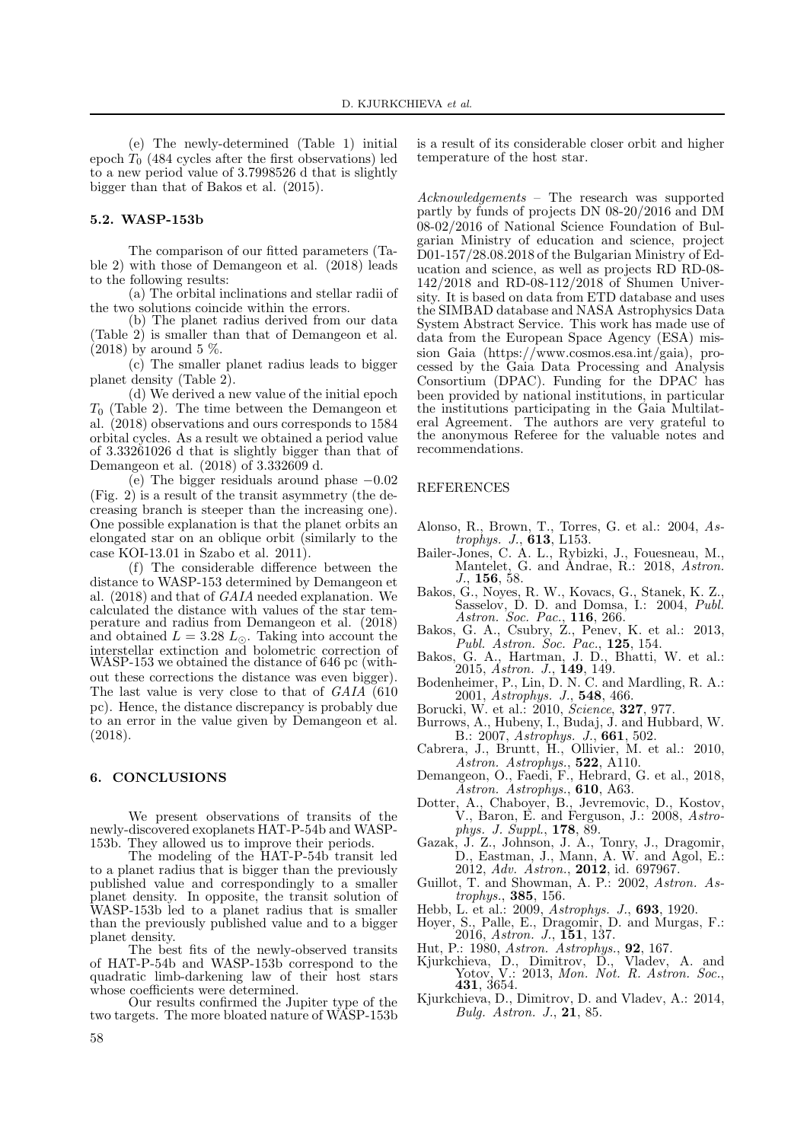(e) The newly-determined (Table 1) initial epoch  $T_0$  (484 cycles after the first observations) led to a new period value of 3.7998526 d that is slightly bigger than that of Bakos et al. (2015).

### **5.2. WASP-153b**

The comparison of our fitted parameters (Table 2) with those of Demangeon et al. (2018) leads to the following results:

(a) The orbital inclinations and stellar radii of the two solutions coincide within the errors.

(b) The planet radius derived from our data (Table 2) is smaller than that of Demangeon et al.  $(2018)$  by around 5 %.

(c) The smaller planet radius leads to bigger planet density (Table 2).

(d) We derived a new value of the initial epoch  $T_0$  (Table 2). The time between the Demangeon et al. (2018) observations and ours corresponds to 1584 orbital cycles. As a result we obtained a period value of 3.33261026 d that is slightly bigger than that of Demangeon et al. (2018) of 3.332609 d.

(e) The bigger residuals around phase −0.02 (Fig. 2) is a result of the transit asymmetry (the decreasing branch is steeper than the increasing one). One possible explanation is that the planet orbits an elongated star on an oblique orbit (similarly to the case KOI-13.01 in Szabo et al. 2011).

(f) The considerable difference between the distance to WASP-153 determined by Demangeon et al. (2018) and that of *GAIA* needed explanation. We calculated the distance with values of the star temperature and radius from Demangeon et al. (2018) and obtained  $L = 3.28 L_{\odot}$ . Taking into account the interstellar extinction and bolometric correction of WASP-153 we obtained the distance of 646 pc (without these corrections the distance was even bigger). The last value is very close to that of *GAIA* (610 pc). Hence, the distance discrepancy is probably due to an error in the value given by Demangeon et al. (2018).

## **6. CONCLUSIONS**

We present observations of transits of the newly-discovered exoplanets HAT-P-54b and WASP-153b. They allowed us to improve their periods.

The modeling of the HAT-P-54b transit led to a planet radius that is bigger than the previously published value and correspondingly to a smaller planet density. In opposite, the transit solution of WASP-153b led to a planet radius that is smaller than the previously published value and to a bigger planet density.

The best fits of the newly-observed transits of HAT-P-54b and WASP-153b correspond to the quadratic limb-darkening law of their host stars whose coefficients were determined.

Our results confirmed the Jupiter type of the two targets. The more bloated nature of WASP-153b is a result of its considerable closer orbit and higher temperature of the host star.

*Acknowledgements* – The research was supported partly by funds of projects DN 08-20/2016 and DM 08-02/2016 of National Science Foundation of Bulgarian Ministry of education and science, project D01-157/28.08.2018 of the Bulgarian Ministry of Education and science, as well as projects RD RD-08- 142/2018 and RD-08-112/2018 of Shumen University. It is based on data from ETD database and uses the SIMBAD database and NASA Astrophysics Data System Abstract Service. This work has made use of data from the European Space Agency (ESA) mission Gaia (https://www.cosmos.esa.int/gaia), processed by the Gaia Data Processing and Analysis Consortium (DPAC). Funding for the DPAC has been provided by national institutions, in particular the institutions participating in the Gaia Multilateral Agreement. The authors are very grateful to the anonymous Referee for the valuable notes and recommendations.

#### REFERENCES

- Alonso, R., Brown, T., Torres, G. et al.: 2004, *Astrophys. J.*, **613**, L153.
- Bailer-Jones, C. A. L., Rybizki, J., Fouesneau, M., Mantelet, G. and Andrae, R.: 2018, *Astron. J.*, **156**, 58.
- Bakos, G., Noyes, R. W., Kovacs, G., Stanek, K. Z., Sasselov, D. D. and Domsa, I.: 2004, *Publ. Astron. Soc. Pac.*, **116**, 266.
- Bakos, G. A., Csubry, Z., Penev, K. et al.: 2013, *Publ. Astron. Soc. Pac.*, **125**, 154.
- Bakos, G. A., Hartman, J. D., Bhatti, W. et al.: 2015, *Astron. J.*, **149**, 149.
- Bodenheimer, P., Lin, D. N. C. and Mardling, R. A.: 2001, *Astrophys. J.*, **548**, 466.
- Borucki, W. et al.: 2010, *Science*, **327**, 977.
- Burrows, A., Hubeny, I., Budaj, J. and Hubbard, W. B.: 2007, *Astrophys. J.*, **661**, 502.
- Cabrera, J., Bruntt, H., Ollivier, M. et al.: 2010, *Astron. Astrophys.*, **522**, A110.
- Demangeon, O., Faedi, F., Hebrard, G. et al., 2018, *Astron. Astrophys.*, **610**, A63.
- Dotter, A., Chaboyer, B., Jevremovic, D., Kostov, V., Baron, E. and Ferguson, J.: 2008, *Astrophys. J. Suppl.*, **178**, 89.
- Gazak, J. Z., Johnson, J. A., Tonry, J., Dragomir, D., Eastman, J., Mann, A. W. and Agol, E.: 2012, *Adv. Astron.*, **2012**, id. 697967.
- Guillot, T. and Showman, A. P.: 2002, *Astron. Astrophys.*, **385**, 156.
- Hebb, L. et al.: 2009, *Astrophys. J.*, **693**, 1920.
- Hoyer, S., Palle, E., Dragomir, D. and Murgas, F.: 2016, *Astron. J.*, **151**, 137.
- Hut, P.: 1980, *Astron. Astrophys.*, **92**, 167.
- Kjurkchieva, D., Dimitrov, D., Vladev, A. and Yotov, V.: 2013, *Mon. Not. R. Astron. Soc.*, **<sup>431</sup>**, 3654.
- Kjurkchieva, D., Dimitrov, D. and Vladev, A.: 2014, *Bulg. Astron. J.*, **21**, 85.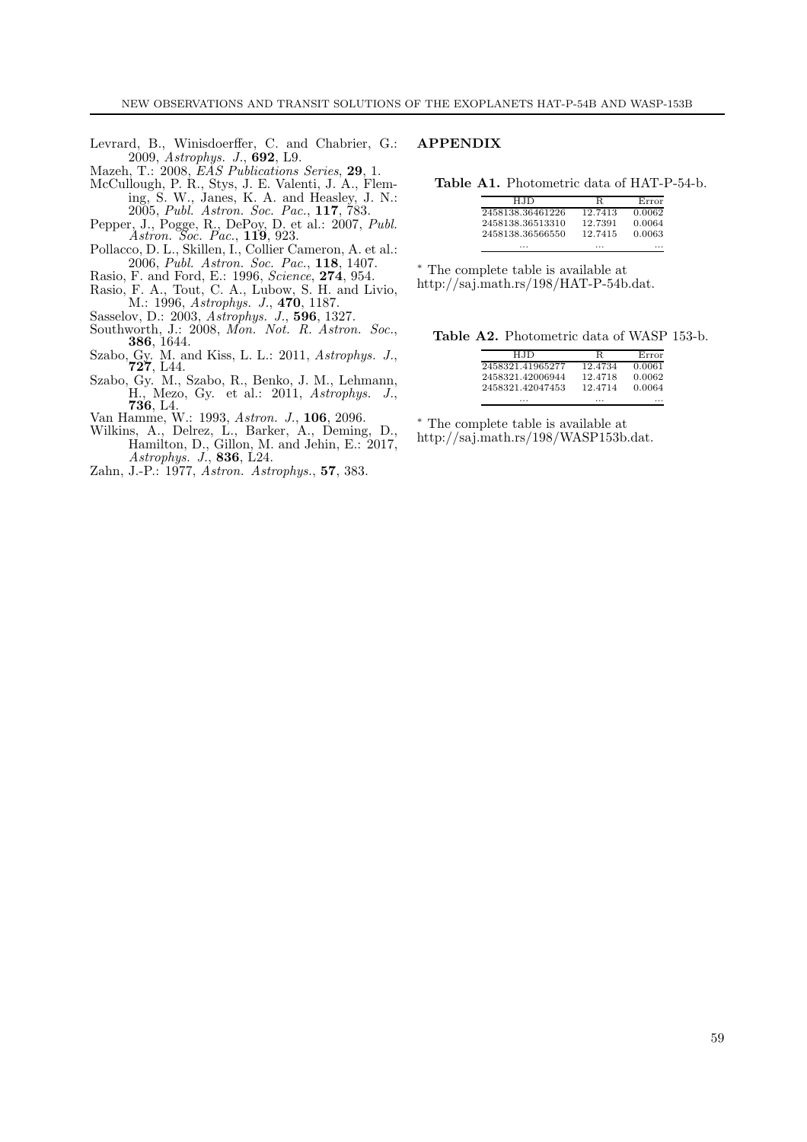- Levrard, B., Winisdoerffer, C. and Chabrier, G.: 2009, *Astrophys. J.*, **692**, L9.
- Mazeh, T.: 2008, *EAS Publications Series*, **29**, 1.
- McCullough, P. R., Stys, J. E. Valenti, J. A., Fleming, S. W., Janes, K. A. and Heasley, J. N.: 2005, *Publ. Astron. Soc. Pac.*, **117**, 783.
- Pepper, J., Pogge, R., DePoy, D. et al.: 2007, *Publ. Astron. Soc. Pac.*, **119**, 923.
- Pollacco, D. L., Skillen, I., Collier Cameron, A. et al.: 2006, *Publ. Astron. Soc. Pac.*, **118**, 1407.
- Rasio, F. and Ford, E.: 1996, *Science*, **274**, 954.
- Rasio, F. A., Tout, C. A., Lubow, S. H. and Livio, M.: 1996, *Astrophys. J.*, **470**, 1187.
- Sasselov, D.: 2003, *Astrophys. J.*, **596**, 1327.
- Southworth, J.: 2008, *Mon. Not. R. Astron. Soc.*, **<sup>386</sup>**, 1644.
- Szabo, Gy. M. and Kiss, L. L.: 2011, *Astrophys. J.*, **<sup>727</sup>**, L44.
- Szabo, Gy. M., Szabo, R., Benko, J. M., Lehmann, H., Mezo, Gy. et al.: 2011, *Astrophys. J.*, **<sup>736</sup>**, L4.
- Van Hamme, W.: 1993, *Astron. J.*, **106**, 2096.
- Wilkins, A., Delrez, L., Barker, A., Deming, D., Hamilton, D., Gillon, M. and Jehin, E.: 2017, *Astrophys. J.*, **836**, L24.
- Zahn, J.-P.: 1977, *Astron. Astrophys.*, **57**, 383.

## **APPENDIX**

**Table A1.** Photometric data of HAT-P-54-b.

| H.ID             | R       | Error  |
|------------------|---------|--------|
| 2458138.36461226 | 12.7413 | 0.0062 |
| 2458138.36513310 | 12.7391 | 0.0064 |
| 2458138.36566550 | 12.7415 | 0.0063 |
| .                | .       | .      |

∗ The complete table is available at http://saj.math.rs/198/HAT-P-54b.dat.

**Table A2.** Photometric data of WASP 153-b.

| H.ID             | R       | Error  |
|------------------|---------|--------|
| 2458321.41965277 | 12.4734 | 0.0061 |
| 2458321.42006944 | 12.4718 | 0.0062 |
| 2458321.42047453 | 12.4714 | 0.0064 |
| .                | .       |        |

∗ The complete table is available at

http://saj.math.rs/198/WASP153b.dat.